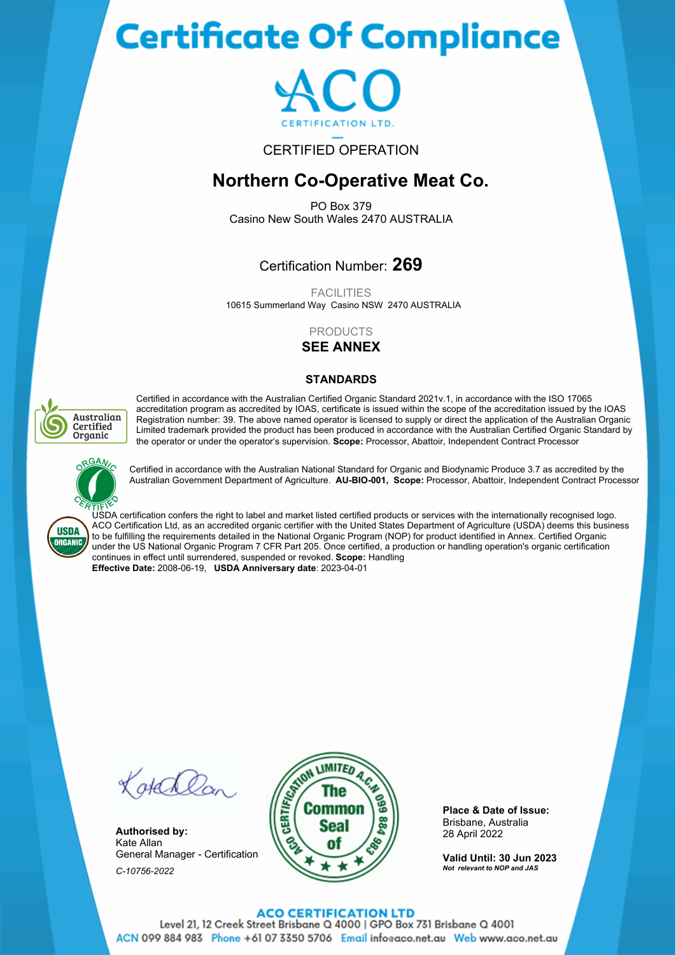# **Certificate Of Compliance**



## CERTIFIED OPERATION

## **Northern Co-Operative Meat Co.**

PO Box 379 Casino New South Wales 2470 AUSTRALIA

## Certification Number: **269**

10615 Summerland Way Casino NSW 2470 AUSTRALIA FACILITIES

## PRODUCTS

**SEE ANNEX**

## **STANDARDS**



Certified in accordance with the Australian Certified Organic Standard 2021v.1, in accordance with the ISO 17065 accreditation program as accredited by IOAS, certificate is issued within the scope of the accreditation issued by the IOAS Registration number: 39. The above named operator is licensed to supply or direct the application of the Australian Organic Limited trademark provided the product has been produced in accordance with the Australian Certified Organic Standard by the operator or under the operator's supervision. **Scope:** Processor, Abattoir, Independent Contract Processor



Certified in accordance with the Australian National Standard for Organic and Biodynamic Produce 3.7 as accredited by the Australian Government Department of Agriculture. **AU-BIO-001, Scope:** Processor, Abattoir, Independent Contract Processor

**USDA ORGANIC** 

USDA certification confers the right to label and market listed certified products or services with the internationally recognised logo. ACO Certification Ltd, as an accredited organic certifier with the United States Department of Agriculture (USDA) deems this business to be fulfilling the requirements detailed in the National Organic Program (NOP) for product identified in Annex. Certified Organic under the US National Organic Program 7 CFR Part 205. Once certified, a production or handling operation's organic certification continues in effect until surrendered, suspended or revoked. **Scope:** Handling **Effective Date:** 2008-06-19, **USDA Anniversary date**: 2023-04-01

Kotchlan

**Authorised by:** Kate Allan General Manager - Certification *C-10756-2022*



**Place & Date of Issue:** Brisbane, Australia 28 April 2022

**Valid Until: 30 Jun 2023** *Not relevant to NOP and JAS*

#### **ACO CERTIFICATION LTD**

Level 21, 12 Creek Street Brisbane Q 4000 | GPO Box 731 Brisbane Q 4001 ACN 099 884 983 Phone +61 07 3350 5706 Email infoeaco.net.au Web www.aco.net.au